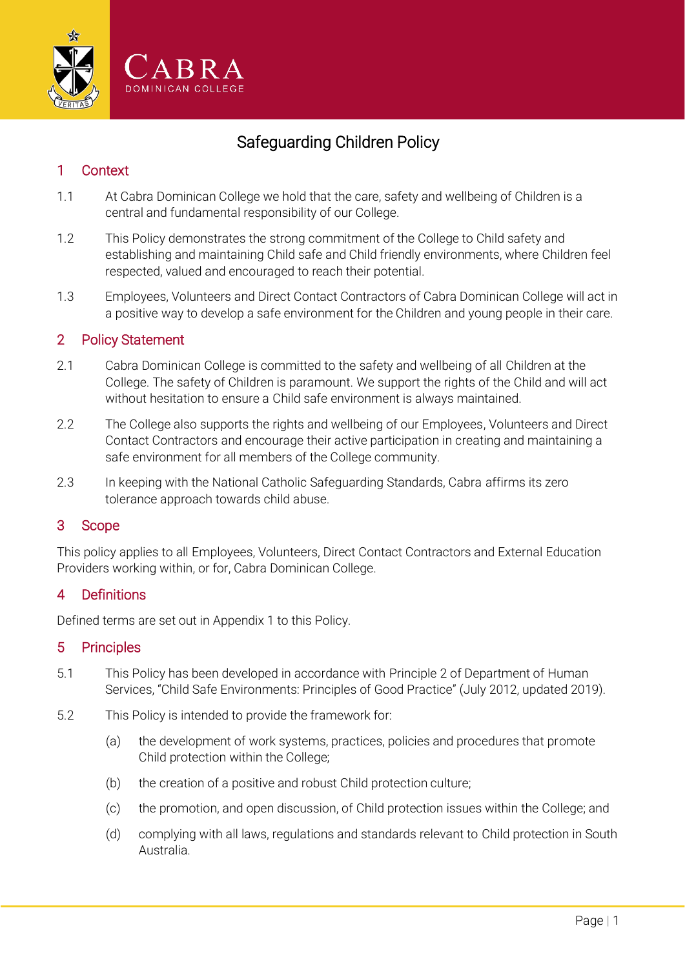

# Safeguarding Children Policy

### 1 Context

- 1.1 At Cabra Dominican College we hold that the care, safety and wellbeing of Children is a central and fundamental responsibility of our College.
- 1.2 This Policy demonstrates the strong commitment of the College to Child safety and establishing and maintaining Child safe and Child friendly environments, where Children feel respected, valued and encouraged to reach their potential.
- 1.3 Employees, Volunteers and Direct Contact Contractors of Cabra Dominican College will act in a positive way to develop a safe environment for the Children and young people in their care.

#### 2 Policy Statement

- 2.1 Cabra Dominican College is committed to the safety and wellbeing of all Children at the College. The safety of Children is paramount. We support the rights of the Child and will act without hesitation to ensure a Child safe environment is always maintained.
- 2.2 The College also supports the rights and wellbeing of our Employees, Volunteers and Direct Contact Contractors and encourage their active participation in creating and maintaining a safe environment for all members of the College community.
- 2.3 In keeping with the National Catholic Safeguarding Standards, Cabra affirms its zero tolerance approach towards child abuse.

#### 3 Scope

This policy applies to all Employees, Volunteers, Direct Contact Contractors and External Education Providers working within, or for, Cabra Dominican College.

## 4 Definitions

Defined terms are set out in Appendix 1 to this Policy.

#### 5 Principles

- 5.1 This Policy has been developed in accordance with Principle 2 of Department of Human Services, "Child Safe Environments: Principles of Good Practice" (July 2012, updated 2019).
- 5.2 This Policy is intended to provide the framework for:
	- (a) the development of work systems, practices, policies and procedures that promote Child protection within the College;
	- (b) the creation of a positive and robust Child protection culture;
	- (c) the promotion, and open discussion, of Child protection issues within the College; and
	- (d) complying with all laws, regulations and standards relevant to Child protection in South Australia.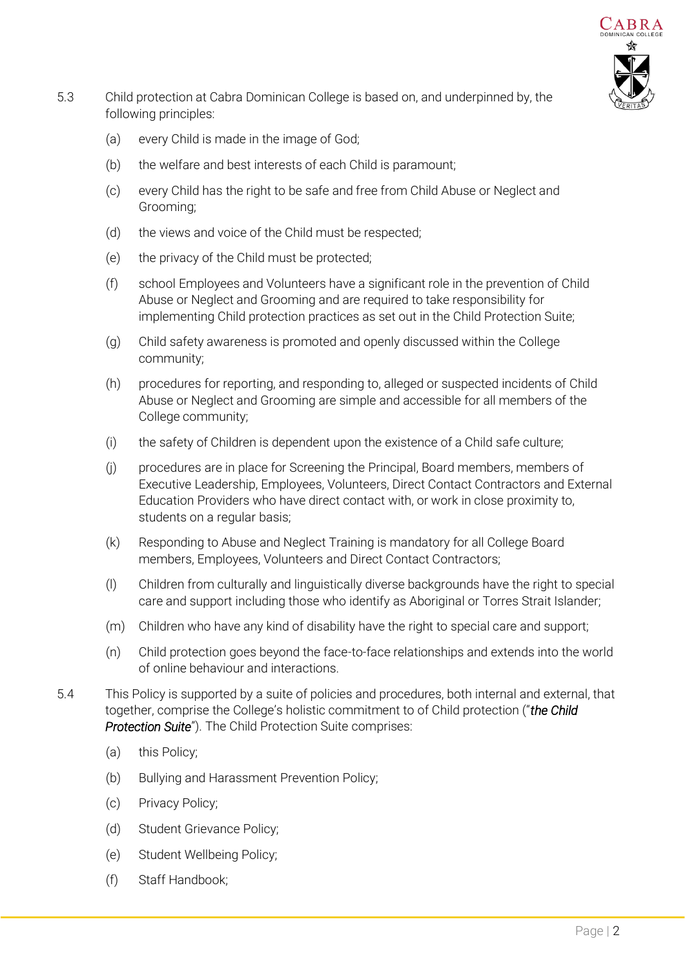

- 5.3 Child protection at Cabra Dominican College is based on, and underpinned by, the following principles:
	- (a) every Child is made in the image of God;
	- (b) the welfare and best interests of each Child is paramount;
	- (c) every Child has the right to be safe and free from Child Abuse or Neglect and Grooming;
	- (d) the views and voice of the Child must be respected;
	- (e) the privacy of the Child must be protected;
	- (f) school Employees and Volunteers have a significant role in the prevention of Child Abuse or Neglect and Grooming and are required to take responsibility for implementing Child protection practices as set out in the Child Protection Suite;
	- (g) Child safety awareness is promoted and openly discussed within the College community;
	- (h) procedures for reporting, and responding to, alleged or suspected incidents of Child Abuse or Neglect and Grooming are simple and accessible for all members of the College community;
	- (i) the safety of Children is dependent upon the existence of a Child safe culture;
	- (j) procedures are in place for Screening the Principal, Board members, members of Executive Leadership, Employees, Volunteers, Direct Contact Contractors and External Education Providers who have direct contact with, or work in close proximity to, students on a regular basis;
	- (k) Responding to Abuse and Neglect Training is mandatory for all College Board members, Employees, Volunteers and Direct Contact Contractors;
	- (l) Children from culturally and linguistically diverse backgrounds have the right to special care and support including those who identify as Aboriginal or Torres Strait Islander;
	- (m) Children who have any kind of disability have the right to special care and support;
	- (n) Child protection goes beyond the face-to-face relationships and extends into the world of online behaviour and interactions.
- 5.4 This Policy is supported by a suite of policies and procedures, both internal and external, that together, comprise the College's holistic commitment to of Child protection ("*the Child Protection Suite*"). The Child Protection Suite comprises:
	- (a) this Policy;
	- (b) Bullying and Harassment Prevention Policy;
	- (c) Privacy Policy;
	- (d) Student Grievance Policy;
	- (e) Student Wellbeing Policy;
	- (f) Staff Handbook;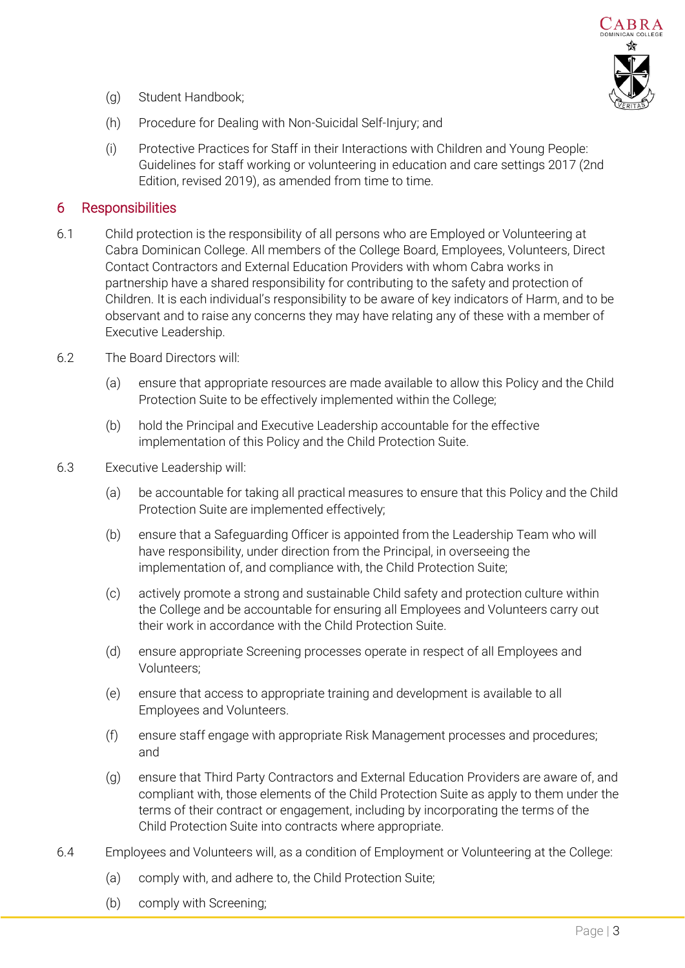

- (g) Student Handbook;
- (h) Procedure for Dealing with Non-Suicidal Self-Injury; and
- (i) Protective Practices for Staff in their Interactions with Children and Young People: Guidelines for staff working or volunteering in education and care settings 2017 (2nd Edition, revised 2019), as amended from time to time.

#### 6 Responsibilities

- 6.1 Child protection is the responsibility of all persons who are Employed or Volunteering at Cabra Dominican College. All members of the College Board, Employees, Volunteers, Direct Contact Contractors and External Education Providers with whom Cabra works in partnership have a shared responsibility for contributing to the safety and protection of Children. It is each individual's responsibility to be aware of key indicators of Harm, and to be observant and to raise any concerns they may have relating any of these with a member of Executive Leadership.
- 6.2 The Board Directors will:
	- (a) ensure that appropriate resources are made available to allow this Policy and the Child Protection Suite to be effectively implemented within the College;
	- (b) hold the Principal and Executive Leadership accountable for the effective implementation of this Policy and the Child Protection Suite.
- 6.3 Executive Leadership will:
	- (a) be accountable for taking all practical measures to ensure that this Policy and the Child Protection Suite are implemented effectively;
	- (b) ensure that a Safeguarding Officer is appointed from the Leadership Team who will have responsibility, under direction from the Principal, in overseeing the implementation of, and compliance with, the Child Protection Suite;
	- (c) actively promote a strong and sustainable Child safety and protection culture within the College and be accountable for ensuring all Employees and Volunteers carry out their work in accordance with the Child Protection Suite.
	- (d) ensure appropriate Screening processes operate in respect of all Employees and Volunteers;
	- (e) ensure that access to appropriate training and development is available to all Employees and Volunteers.
	- (f) ensure staff engage with appropriate Risk Management processes and procedures; and
	- (g) ensure that Third Party Contractors and External Education Providers are aware of, and compliant with, those elements of the Child Protection Suite as apply to them under the terms of their contract or engagement, including by incorporating the terms of the Child Protection Suite into contracts where appropriate.
- 6.4 Employees and Volunteers will, as a condition of Employment or Volunteering at the College:
	- (a) comply with, and adhere to, the Child Protection Suite;
	- (b) comply with Screening;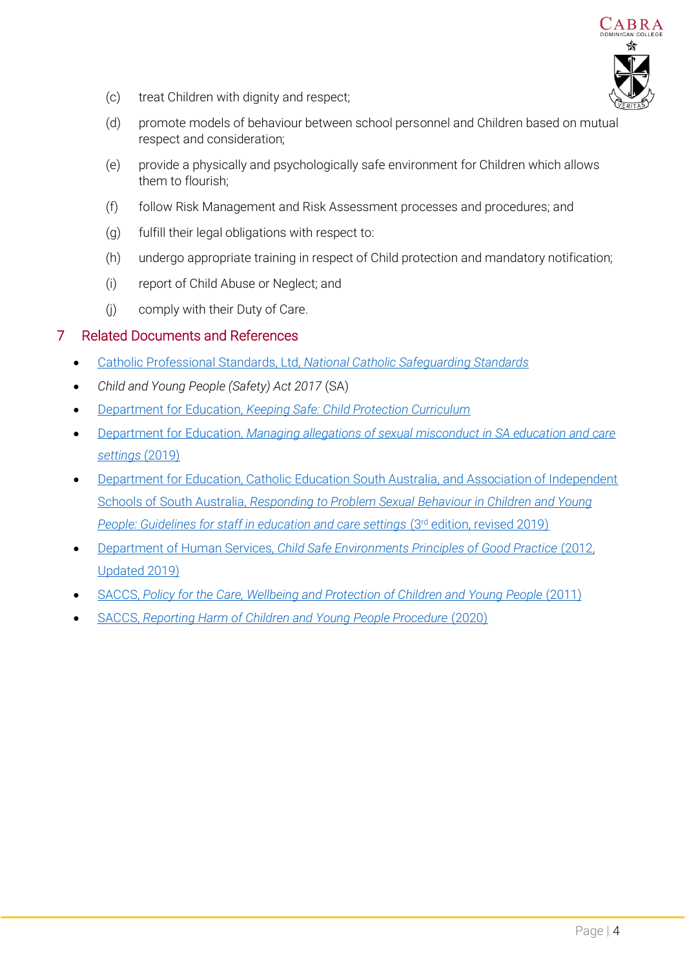

- (c) treat Children with dignity and respect;
- (d) promote models of behaviour between school personnel and Children based on mutual respect and consideration;
- (e) provide a physically and psychologically safe environment for Children which allows them to flourish;
- (f) follow Risk Management and Risk Assessment processes and procedures; and
- (g) fulfill their legal obligations with respect to:
- (h) undergo appropriate training in respect of Child protection and mandatory notification;
- (i) report of Child Abuse or Neglect; and
- (j) comply with their Duty of Care.

#### 7 Related Documents and References

- Catholic Professional Standards, Ltd, *[National Catholic Safeguarding Standards](https://www.acsltd.org.au/services/professional-and-safeguarding-standards/national-catholic-safeguarding-standards/)*
- *Child and Young People (Safety) Act 2017* (SA)
- Department for Education, *[Keeping Safe: Child Protection Curriculum](https://www.education.sa.gov.au/teaching/curriculum-and-teaching/keeping-safe-child-protection-curriculum)*
- Department for Education, *[Managing allegations of sexual misconduct in SA education and care](https://www.education.sa.gov.au/sites/default/files/managing-allegations-of-sexual-misconduct-in-sa-education-and-care-settings.pdf?v=1593556932)  [settings](https://www.education.sa.gov.au/sites/default/files/managing-allegations-of-sexual-misconduct-in-sa-education-and-care-settings.pdf?v=1593556932)* (2019)
- [Department for Education, Catholic Education South Australia, and Association of Independent](https://www.education.sa.gov.au/sites/default/files/responding_to_problem_sexual_behaviour_in_children_and_young_people.pdf?acsf_files_redirect)  Schools of South Australia, *[Responding to Problem Sexual](https://www.education.sa.gov.au/sites/default/files/responding_to_problem_sexual_behaviour_in_children_and_young_people.pdf?acsf_files_redirect) Behaviour in Children and Young [People: Guidelines for staff in education and care settings](https://www.education.sa.gov.au/sites/default/files/responding_to_problem_sexual_behaviour_in_children_and_young_people.pdf?acsf_files_redirect)* (3<sup>rd</sup> edition, revised 2019)
- Department of Human Services, *[Child Safe Environments Principles of Good Practice](https://dhs.sa.gov.au/__data/assets/pdf_file/0011/82658/cse-principles-of-good-practice-2019-dhs-update.pdf)* (2012, [Updated 2019\)](https://dhs.sa.gov.au/__data/assets/pdf_file/0011/82658/cse-principles-of-good-practice-2019-dhs-update.pdf)
- SACCS, *[Policy for the Care, Wellbeing and Protection of Children and Young People](https://www.cesa.catholic.edu.au/__files/f/2626/Care_Wellbeing_and_Protection_of_Young_People.pdf)* (2011)
- SACCS, *[Reporting Harm of Children and Young People Procedure](https://www.cesa.catholic.edu.au/__files/f/62536/Reporting_Harm_of_Children_and_Young_People_Procedure_2020_SACCS.pdf)* (2020)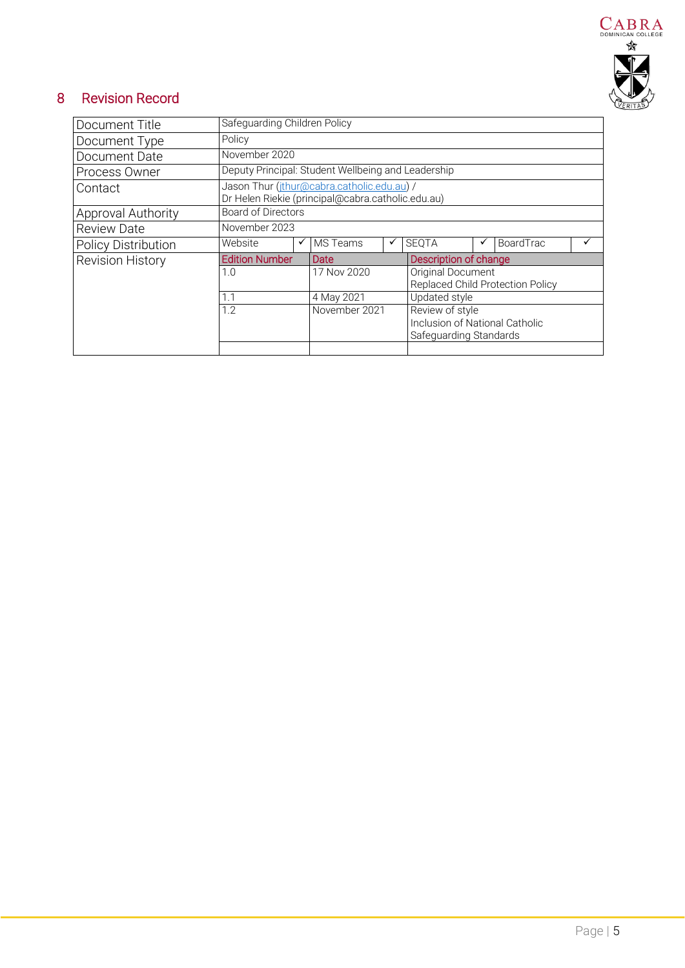

## 8 Revision Record

| Document Title             | Safeguarding Children Policy                                                                    |   |               |   |                                                                             |  |           |  |
|----------------------------|-------------------------------------------------------------------------------------------------|---|---------------|---|-----------------------------------------------------------------------------|--|-----------|--|
| Document Type              | Policy                                                                                          |   |               |   |                                                                             |  |           |  |
| Document Date              | November 2020                                                                                   |   |               |   |                                                                             |  |           |  |
| Process Owner              | Deputy Principal: Student Wellbeing and Leadership                                              |   |               |   |                                                                             |  |           |  |
| Contact                    | Jason Thur (jthur@cabra.catholic.edu.au) /<br>Dr Helen Riekie (principal@cabra.catholic.edu.au) |   |               |   |                                                                             |  |           |  |
| <b>Approval Authority</b>  | Board of Directors                                                                              |   |               |   |                                                                             |  |           |  |
| <b>Review Date</b>         | November 2023                                                                                   |   |               |   |                                                                             |  |           |  |
| <b>Policy Distribution</b> | Website                                                                                         | ✓ | MS Teams      | ✓ | <b>SEQTA</b>                                                                |  | BoardTrac |  |
| <b>Revision History</b>    | <b>Edition Number</b>                                                                           |   | Date          |   | Description of change                                                       |  |           |  |
|                            | 1.0                                                                                             |   | 17 Nov 2020   |   | Original Document<br>Replaced Child Protection Policy                       |  |           |  |
|                            | 1.1                                                                                             |   | 4 May 2021    |   | Updated style                                                               |  |           |  |
|                            | 1.2                                                                                             |   | November 2021 |   | Review of style<br>Inclusion of National Catholic<br>Safeguarding Standards |  |           |  |
|                            |                                                                                                 |   |               |   |                                                                             |  |           |  |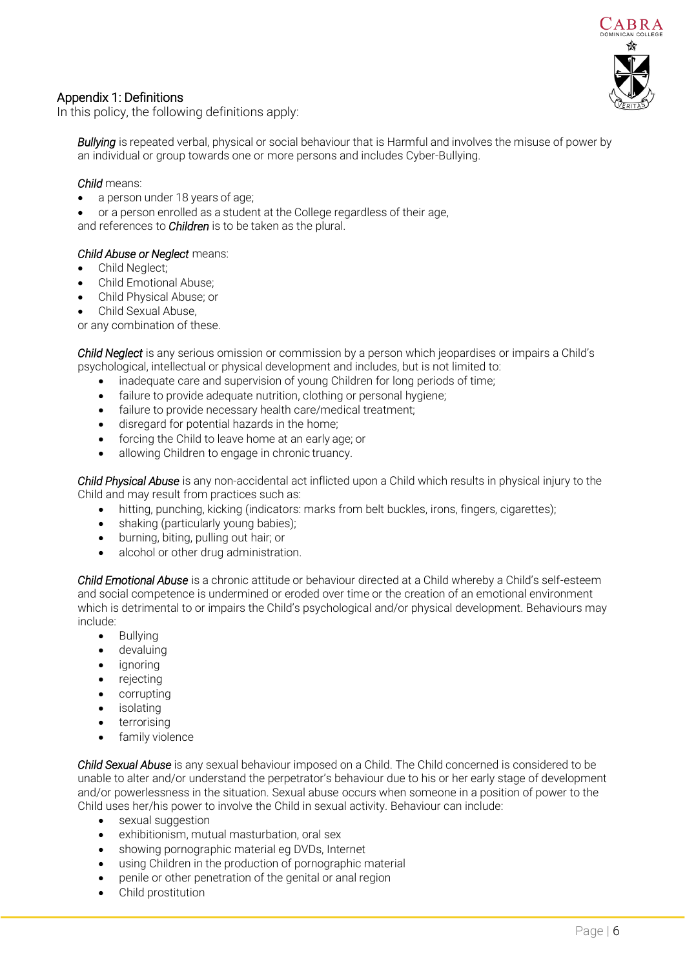

#### Appendix 1: Definitions

In this policy, the following definitions apply:

*Bullying* is repeated verbal, physical or social behaviour that is Harmful and involves the misuse of power by an individual or group towards one or more persons and includes Cyber-Bullying.

#### *Child* means:

- a person under 18 years of age;
- or a person enrolled as a student at the College regardless of their age, and references to *Children* is to be taken as the plural.

#### *Child Abuse or Neglect* means:

- Child Neglect;
- Child Emotional Abuse;
- Child Physical Abuse; or
- Child Sexual Abuse,

or any combination of these.

*Child Neglect* is any serious omission or commission by a person which jeopardises or impairs a Child's psychological, intellectual or physical development and includes, but is not limited to:

- inadequate care and supervision of young Children for long periods of time;
- failure to provide adequate nutrition, clothing or personal hygiene;
- failure to provide necessary health care/medical treatment:
- disregard for potential hazards in the home;
- forcing the Child to leave home at an early age; or
- allowing Children to engage in chronic truancy.

*Child Physical Abuse* is any non-accidental act inflicted upon a Child which results in physical injury to the Child and may result from practices such as:

- hitting, punching, kicking (indicators: marks from belt buckles, irons, fingers, cigarettes);
- shaking (particularly young babies);
- burning, biting, pulling out hair; or
- alcohol or other drug administration.

*Child Emotional Abuse* is a chronic attitude or behaviour directed at a Child whereby a Child's self-esteem and social competence is undermined or eroded over time or the creation of an emotional environment which is detrimental to or impairs the Child's psychological and/or physical development. Behaviours may include:

- Bullying
- devaluing
- *ignoring*
- **rejecting**
- corrupting
- *isolating*
- terrorising
- family violence

*Child Sexual Abuse* is any sexual behaviour imposed on a Child. The Child concerned is considered to be unable to alter and/or understand the perpetrator's behaviour due to his or her early stage of development and/or powerlessness in the situation. Sexual abuse occurs when someone in a position of power to the Child uses her/his power to involve the Child in sexual activity. Behaviour can include:

- sexual suggestion
- exhibitionism, mutual masturbation, oral sex
- showing pornographic material eg DVDs, Internet
- using Children in the production of pornographic material
- penile or other penetration of the genital or anal region
- Child prostitution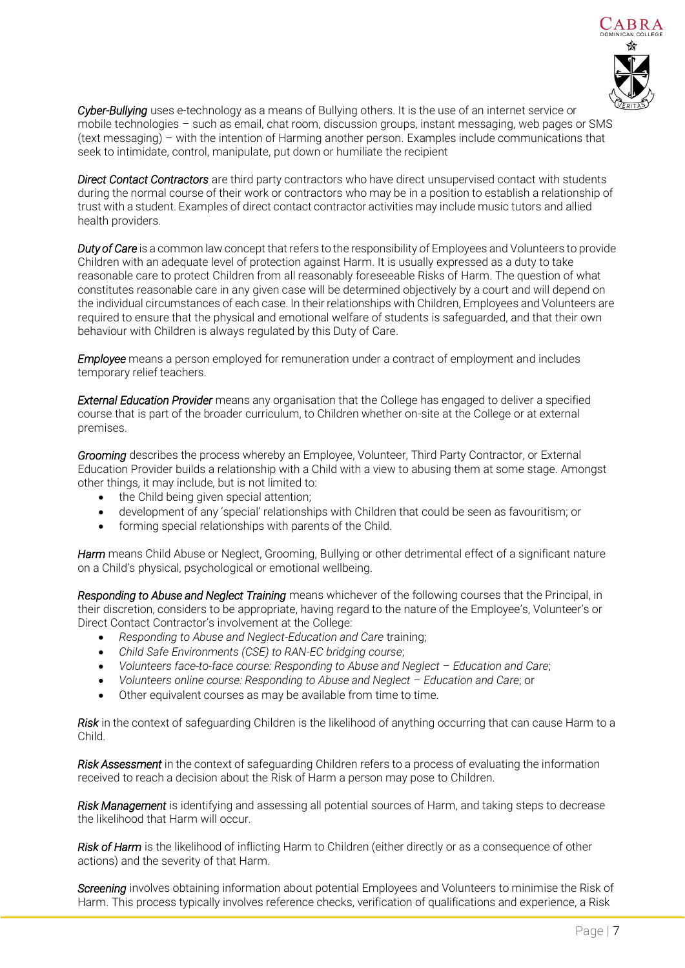

*Cyber-Bullying* uses e-technology as a means of Bullying others. It is the use of an internet service or mobile technologies – such as email, chat room, discussion groups, instant messaging, web pages or SMS (text messaging) – with the intention of Harming another person. Examples include communications that seek to intimidate, control, manipulate, put down or humiliate the recipient

*Direct Contact Contractors* are third party contractors who have direct unsupervised contact with students during the normal course of their work or contractors who may be in a position to establish a relationship of trust with a student. Examples of direct contact contractor activities may include music tutors and allied health providers.

*Duty of Care* is a common law concept that refers to the responsibility of Employees and Volunteers to provide Children with an adequate level of protection against Harm. It is usually expressed as a duty to take reasonable care to protect Children from all reasonably foreseeable Risks of Harm. The question of what constitutes reasonable care in any given case will be determined objectively by a court and will depend on the individual circumstances of each case. In their relationships with Children, Employees and Volunteers are required to ensure that the physical and emotional welfare of students is safeguarded, and that their own behaviour with Children is always regulated by this Duty of Care.

*Employee* means a person employed for remuneration under a contract of employment and includes temporary relief teachers.

*External Education Provider* means any organisation that the College has engaged to deliver a specified course that is part of the broader curriculum, to Children whether on-site at the College or at external premises.

*Grooming* describes the process whereby an Employee, Volunteer, Third Party Contractor, or External Education Provider builds a relationship with a Child with a view to abusing them at some stage. Amongst other things, it may include, but is not limited to:

- the Child being given special attention;
- development of any 'special' relationships with Children that could be seen as favouritism; or
- forming special relationships with parents of the Child.

*Harm* means Child Abuse or Neglect, Grooming, Bullying or other detrimental effect of a significant nature on a Child's physical, psychological or emotional wellbeing.

*Responding to Abuse and Neglect Training* means whichever of the following courses that the Principal, in their discretion, considers to be appropriate, having regard to the nature of the Employee's, Volunteer's or Direct Contact Contractor's involvement at the College:

- *Responding to Abuse and Neglect-Education and Care* training;
- *Child Safe Environments (CSE) to RAN-EC bridging course*;
- *Volunteers face-to-face course: Responding to Abuse and Neglect – Education and Care*;
- *Volunteers online course: Responding to Abuse and Neglect – Education and Care*; or
- Other equivalent courses as may be available from time to time.

*Risk* in the context of safeguarding Children is the likelihood of anything occurring that can cause Harm to a Child.

*Risk Assessment* in the context of safeguarding Children refers to a process of evaluating the information received to reach a decision about the Risk of Harm a person may pose to Children.

*Risk Management* is identifying and assessing all potential sources of Harm, and taking steps to decrease the likelihood that Harm will occur.

*Risk of Harm* is the likelihood of inflicting Harm to Children (either directly or as a consequence of other actions) and the severity of that Harm.

*Screening* involves obtaining information about potential Employees and Volunteers to minimise the Risk of Harm. This process typically involves reference checks, verification of qualifications and experience, a Risk